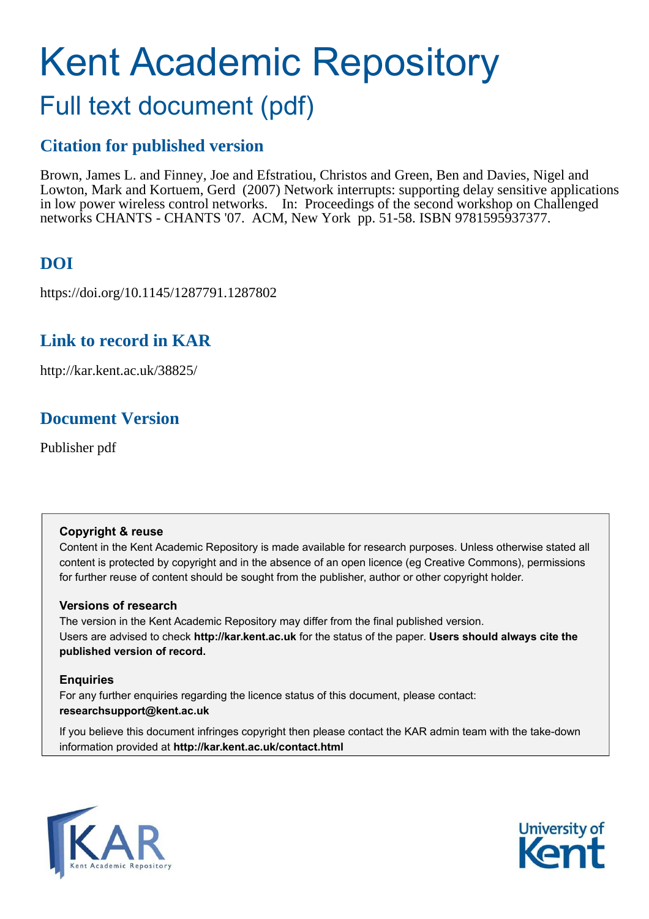# Kent Academic Repository

## Full text document (pdf)

## **Citation for published version**

Brown, James L. and Finney, Joe and Efstratiou, Christos and Green, Ben and Davies, Nigel and Lowton, Mark and Kortuem, Gerd (2007) Network interrupts: supporting delay sensitive applications in low power wireless control networks. In: Proceedings of the second workshop on Challenged networks CHANTS - CHANTS '07. ACM, New York pp. 51-58. ISBN 9781595937377.

## **DOI**

https://doi.org/10.1145/1287791.1287802

## **Link to record in KAR**

http://kar.kent.ac.uk/38825/

## **Document Version**

Publisher pdf

#### **Copyright & reuse**

Content in the Kent Academic Repository is made available for research purposes. Unless otherwise stated all content is protected by copyright and in the absence of an open licence (eg Creative Commons), permissions for further reuse of content should be sought from the publisher, author or other copyright holder.

#### **Versions of research**

The version in the Kent Academic Repository may differ from the final published version. Users are advised to check **http://kar.kent.ac.uk** for the status of the paper. **Users should always cite the published version of record.**

#### **Enquiries**

For any further enquiries regarding the licence status of this document, please contact: **researchsupport@kent.ac.uk**

If you believe this document infringes copyright then please contact the KAR admin team with the take-down information provided at **http://kar.kent.ac.uk/contact.html**



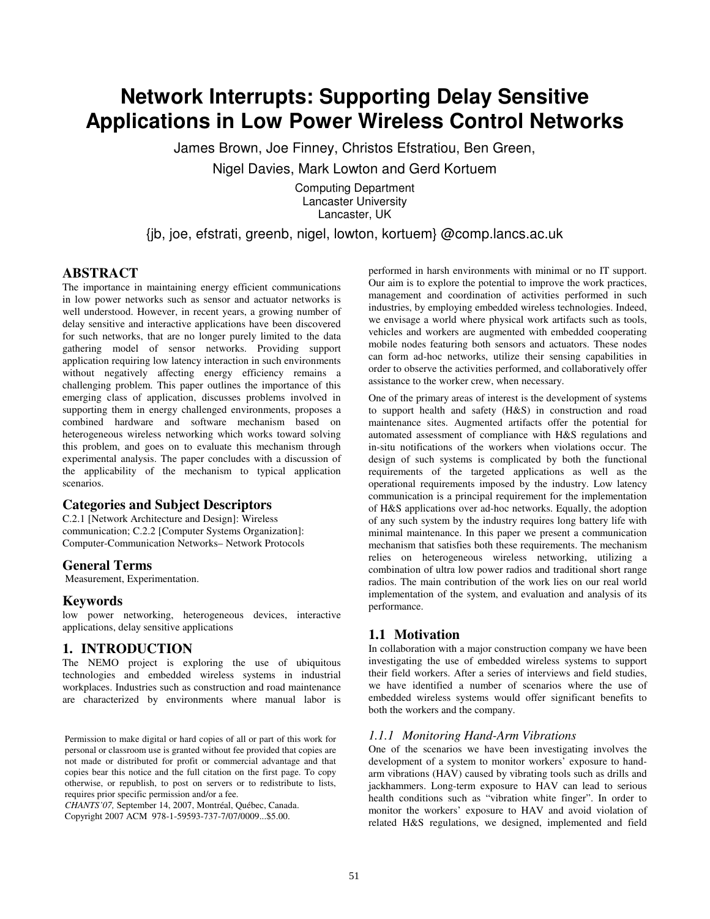## **Network Interrupts: Supporting Delay Sensitive Applications in Low Power Wireless Control Networks**

James Brown, Joe Finney, Christos Efstratiou, Ben Green,

Nigel Davies, Mark Lowton and Gerd Kortuem

Computing Department Lancaster University Lancaster, UK

#### {jb, joe, efstrati, greenb, nigel, lowton, kortuem} @comp.lancs.ac.uk

#### **ABSTRACT**

The importance in maintaining energy efficient communications in low power networks such as sensor and actuator networks is well understood. However, in recent years, a growing number of delay sensitive and interactive applications have been discovered for such networks, that are no longer purely limited to the data gathering model of sensor networks. Providing support application requiring low latency interaction in such environments without negatively affecting energy efficiency remains a challenging problem. This paper outlines the importance of this emerging class of application, discusses problems involved in supporting them in energy challenged environments, proposes a combined hardware and software mechanism based on heterogeneous wireless networking which works toward solving this problem, and goes on to evaluate this mechanism through experimental analysis. The paper concludes with a discussion of the applicability of the mechanism to typical application scenarios.

#### **Categories and Subject Descriptors**

C.2.1 [Network Architecture and Design]: Wireless communication; C.2.2 [Computer Systems Organization]: Computer-Communication Networks– Network Protocols

#### **General Terms**

Measurement, Experimentation.

#### **Keywords**

low power networking, heterogeneous devices, interactive applications, delay sensitive applications

#### **1. INTRODUCTION**

The NEMO project is exploring the use of ubiquitous technologies and embedded wireless systems in industrial workplaces. Industries such as construction and road maintenance are characterized by environments where manual labor is

Permission to make digital or hard copies of all or part of this work for personal or classroom use is granted without fee provided that copies are not made or distributed for profit or commercial advantage and that copies bear this notice and the full citation on the first page. To copy otherwise, or republish, to post on servers or to redistribute to lists, requires prior specific permission and/or a fee.

*CHANTS'07,* September 14, 2007, Montréal, Québec, Canada. Copyright 2007 ACM 978-1-59593-737-7/07/0009...\$5.00.

performed in harsh environments with minimal or no IT support. Our aim is to explore the potential to improve the work practices, management and coordination of activities performed in such industries, by employing embedded wireless technologies. Indeed, we envisage a world where physical work artifacts such as tools, vehicles and workers are augmented with embedded cooperating mobile nodes featuring both sensors and actuators. These nodes can form ad-hoc networks, utilize their sensing capabilities in order to observe the activities performed, and collaboratively offer assistance to the worker crew, when necessary.

One of the primary areas of interest is the development of systems to support health and safety (H&S) in construction and road maintenance sites. Augmented artifacts offer the potential for automated assessment of compliance with H&S regulations and in-situ notifications of the workers when violations occur. The design of such systems is complicated by both the functional requirements of the targeted applications as well as the operational requirements imposed by the industry. Low latency communication is a principal requirement for the implementation of H&S applications over ad-hoc networks. Equally, the adoption of any such system by the industry requires long battery life with minimal maintenance. In this paper we present a communication mechanism that satisfies both these requirements. The mechanism relies on heterogeneous wireless networking, utilizing a combination of ultra low power radios and traditional short range radios. The main contribution of the work lies on our real world implementation of the system, and evaluation and analysis of its performance.

#### **1.1 Motivation**

In collaboration with a major construction company we have been investigating the use of embedded wireless systems to support their field workers. After a series of interviews and field studies, we have identified a number of scenarios where the use of embedded wireless systems would offer significant benefits to both the workers and the company.

#### *1.1.1 Monitoring Hand-Arm Vibrations*

One of the scenarios we have been investigating involves the development of a system to monitor workers' exposure to handarm vibrations (HAV) caused by vibrating tools such as drills and jackhammers. Long-term exposure to HAV can lead to serious health conditions such as "vibration white finger". In order to monitor the workers' exposure to HAV and avoid violation of related H&S regulations, we designed, implemented and field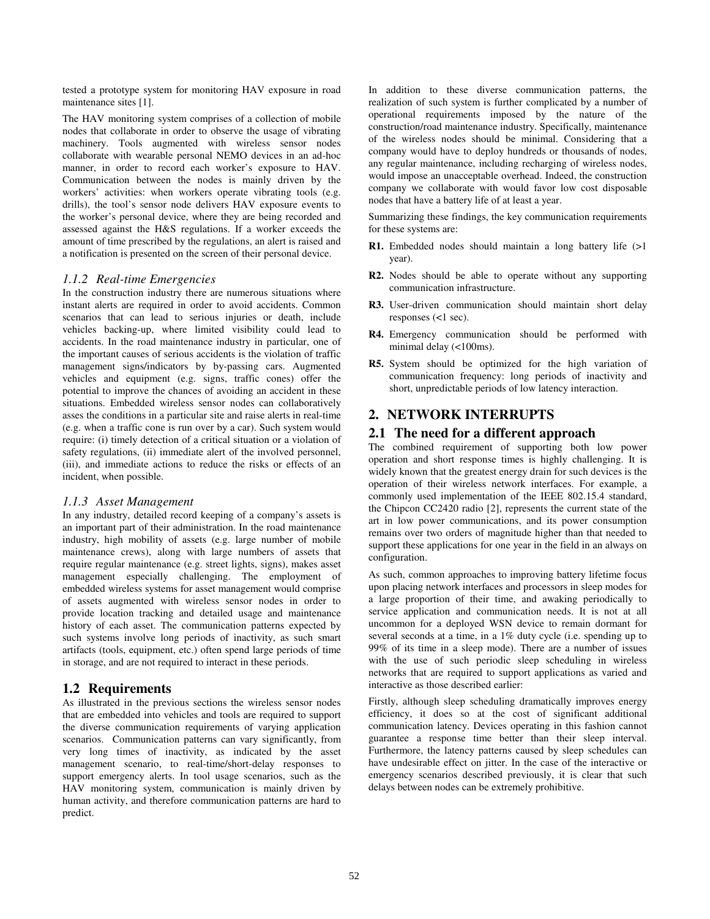tested a prototype system for monitoring HAV exposure in road maintenance sites [1].

The HAV monitoring system comprises of a collection of mobile nodes that collaborate in order to observe the usage of vibrating machinery. Tools augmented with wireless sensor nodes collaborate with wearable personal NEMO devices in an ad-hoc manner, in order to record each worker's exposure to HAV. Communication between the nodes is mainly driven by the workers' activities: when workers operate vibrating tools (e.g. drills), the tool's sensor node delivers HAV exposure events to the worker's personal device, where they are being recorded and assessed against the H&S regulations. If a worker exceeds the amount of time prescribed by the regulations, an alert is raised and a notification is presented on the screen of their personal device.

#### *1.1.2 Real-time Emergencies*

In the construction industry there are numerous situations where instant alerts are required in order to avoid accidents. Common scenarios that can lead to serious injuries or death, include vehicles backing-up, where limited visibility could lead to accidents. In the road maintenance industry in particular, one of the important causes of serious accidents is the violation of traffic management signs/indicators by by-passing cars. Augmented vehicles and equipment (e.g. signs, traffic cones) offer the potential to improve the chances of avoiding an accident in these situations. Embedded wireless sensor nodes can collaboratively asses the conditions in a particular site and raise alerts in real-time (e.g. when a traffic cone is run over by a car). Such system would require: (i) timely detection of a critical situation or a violation of safety regulations, (ii) immediate alert of the involved personnel, (iii), and immediate actions to reduce the risks or effects of an incident, when possible.

#### *1.1.3 Asset Management*

In any industry, detailed record keeping of a company's assets is an important part of their administration. In the road maintenance industry, high mobility of assets (e.g. large number of mobile maintenance crews), along with large numbers of assets that require regular maintenance (e.g. street lights, signs), makes asset management especially challenging. The employment of embedded wireless systems for asset management would comprise of assets augmented with wireless sensor nodes in order to provide location tracking and detailed usage and maintenance history of each asset. The communication patterns expected by such systems involve long periods of inactivity, as such smart artifacts (tools, equipment, etc.) often spend large periods of time in storage, and are not required to interact in these periods.

#### **1.2 Requirements**

As illustrated in the previous sections the wireless sensor nodes that are embedded into vehicles and tools are required to support the diverse communication requirements of varying application scenarios. Communication patterns can vary significantly, from very long times of inactivity, as indicated by the asset management scenario, to real-time/short-delay responses to support emergency alerts. In tool usage scenarios, such as the HAV monitoring system, communication is mainly driven by human activity, and therefore communication patterns are hard to predict.

In addition to these diverse communication patterns, the realization of such system is further complicated by a number of operational requirements imposed by the nature of the construction/road maintenance industry. Specifically, maintenance of the wireless nodes should be minimal. Considering that a company would have to deploy hundreds or thousands of nodes, any regular maintenance, including recharging of wireless nodes, would impose an unacceptable overhead. Indeed, the construction company we collaborate with would favor low cost disposable nodes that have a battery life of at least a year.

Summarizing these findings, the key communication requirements for these systems are:

- **R1.** Embedded nodes should maintain a long battery life (>1) year).
- **R2.** Nodes should be able to operate without any supporting communication infrastructure.
- **R3.** User-driven communication should maintain short delay responses (<1 sec).
- **R4.** Emergency communication should be performed with minimal delay (<100ms).
- **R5.** System should be optimized for the high variation of communication frequency: long periods of inactivity and short, unpredictable periods of low latency interaction.

#### **2. NETWORK INTERRUPTS**

#### **2.1 The need for a different approach**

The combined requirement of supporting both low power operation and short response times is highly challenging. It is widely known that the greatest energy drain for such devices is the operation of their wireless network interfaces. For example, a commonly used implementation of the IEEE 802.15.4 standard, the Chipcon CC2420 radio [2], represents the current state of the art in low power communications, and its power consumption remains over two orders of magnitude higher than that needed to support these applications for one year in the field in an always on configuration.

As such, common approaches to improving battery lifetime focus upon placing network interfaces and processors in sleep modes for a large proportion of their time, and awaking periodically to service application and communication needs. It is not at all uncommon for a deployed WSN device to remain dormant for several seconds at a time, in a 1% duty cycle (i.e. spending up to 99% of its time in a sleep mode). There are a number of issues with the use of such periodic sleep scheduling in wireless networks that are required to support applications as varied and interactive as those described earlier:

Firstly, although sleep scheduling dramatically improves energy efficiency, it does so at the cost of significant additional communication latency. Devices operating in this fashion cannot guarantee a response time better than their sleep interval. Furthermore, the latency patterns caused by sleep schedules can have undesirable effect on jitter. In the case of the interactive or emergency scenarios described previously, it is clear that such delays between nodes can be extremely prohibitive.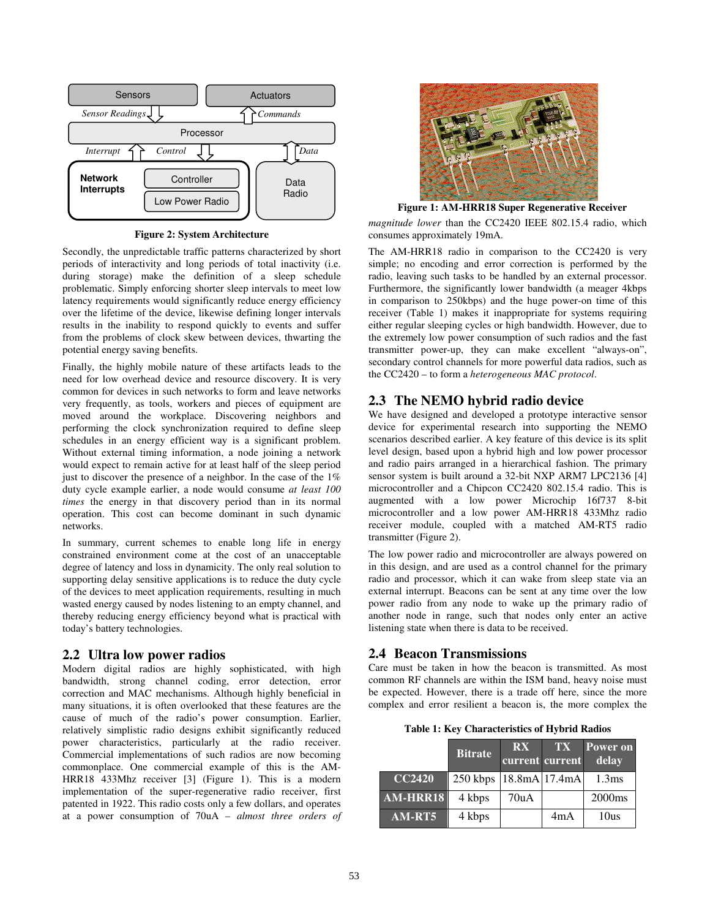

**Figure 2: System Architecture** 

Secondly, the unpredictable traffic patterns characterized by short periods of interactivity and long periods of total inactivity (i.e. during storage) make the definition of a sleep schedule problematic. Simply enforcing shorter sleep intervals to meet low latency requirements would significantly reduce energy efficiency over the lifetime of the device, likewise defining longer intervals results in the inability to respond quickly to events and suffer from the problems of clock skew between devices, thwarting the potential energy saving benefits.

Finally, the highly mobile nature of these artifacts leads to the need for low overhead device and resource discovery. It is very common for devices in such networks to form and leave networks very frequently, as tools, workers and pieces of equipment are moved around the workplace. Discovering neighbors and performing the clock synchronization required to define sleep schedules in an energy efficient way is a significant problem. Without external timing information, a node joining a network would expect to remain active for at least half of the sleep period just to discover the presence of a neighbor. In the case of the 1% duty cycle example earlier, a node would consume *at least 100 times* the energy in that discovery period than in its normal operation. This cost can become dominant in such dynamic networks.

In summary, current schemes to enable long life in energy constrained environment come at the cost of an unacceptable degree of latency and loss in dynamicity. The only real solution to supporting delay sensitive applications is to reduce the duty cycle of the devices to meet application requirements, resulting in much wasted energy caused by nodes listening to an empty channel, and thereby reducing energy efficiency beyond what is practical with today's battery technologies.

#### **2.2 Ultra low power radios**

Modern digital radios are highly sophisticated, with high bandwidth, strong channel coding, error detection, error correction and MAC mechanisms. Although highly beneficial in many situations, it is often overlooked that these features are the cause of much of the radio's power consumption. Earlier, relatively simplistic radio designs exhibit significantly reduced power characteristics, particularly at the radio receiver. Commercial implementations of such radios are now becoming commonplace. One commercial example of this is the AM-HRR18 433Mhz receiver [3] (Figure 1). This is a modern implementation of the super-regenerative radio receiver, first patented in 1922. This radio costs only a few dollars, and operates at a power consumption of 70uA – *almost three orders of* 



**Figure 1: AM-HRR18 Super Regenerative Receiver** 

*magnitude lower* than the CC2420 IEEE 802.15.4 radio, which consumes approximately 19mA.

The AM-HRR18 radio in comparison to the CC2420 is very simple; no encoding and error correction is performed by the radio, leaving such tasks to be handled by an external processor. Furthermore, the significantly lower bandwidth (a meager 4kbps in comparison to 250kbps) and the huge power-on time of this receiver (Table 1) makes it inappropriate for systems requiring either regular sleeping cycles or high bandwidth. However, due to the extremely low power consumption of such radios and the fast transmitter power-up, they can make excellent "always-on", secondary control channels for more powerful data radios, such as the CC2420 – to form a *heterogeneous MAC protocol*.

#### **2.3 The NEMO hybrid radio device**

We have designed and developed a prototype interactive sensor device for experimental research into supporting the NEMO scenarios described earlier. A key feature of this device is its split level design, based upon a hybrid high and low power processor and radio pairs arranged in a hierarchical fashion. The primary sensor system is built around a 32-bit NXP ARM7 LPC2136 [4] microcontroller and a Chipcon CC2420 802.15.4 radio. This is augmented with a low power Microchip 16f737 8-bit microcontroller and a low power AM-HRR18 433Mhz radio receiver module, coupled with a matched AM-RT5 radio transmitter (Figure 2).

The low power radio and microcontroller are always powered on in this design, and are used as a control channel for the primary radio and processor, which it can wake from sleep state via an external interrupt. Beacons can be sent at any time over the low power radio from any node to wake up the primary radio of another node in range, such that nodes only enter an active listening state when there is data to be received.

#### **2.4 Beacon Transmissions**

Care must be taken in how the beacon is transmitted. As most common RF channels are within the ISM band, heavy noise must be expected. However, there is a trade off here, since the more complex and error resilient a beacon is, the more complex the

**Table 1: Key Characteristics of Hybrid Radios**

|               | <b>Bitrate</b>             | <b>RX</b><br>current current | <b>TX</b> | Power on<br>delay  |
|---------------|----------------------------|------------------------------|-----------|--------------------|
| <b>CC2420</b> | 250 kbps   18.8mA   17.4mA |                              |           | 1.3 <sub>ms</sub>  |
| AM-HRR18      | 4 kbps                     | 70uA                         |           | 2000 <sub>ms</sub> |
| AM-RT5        | 4 kbps                     |                              | 4mA       | 10us               |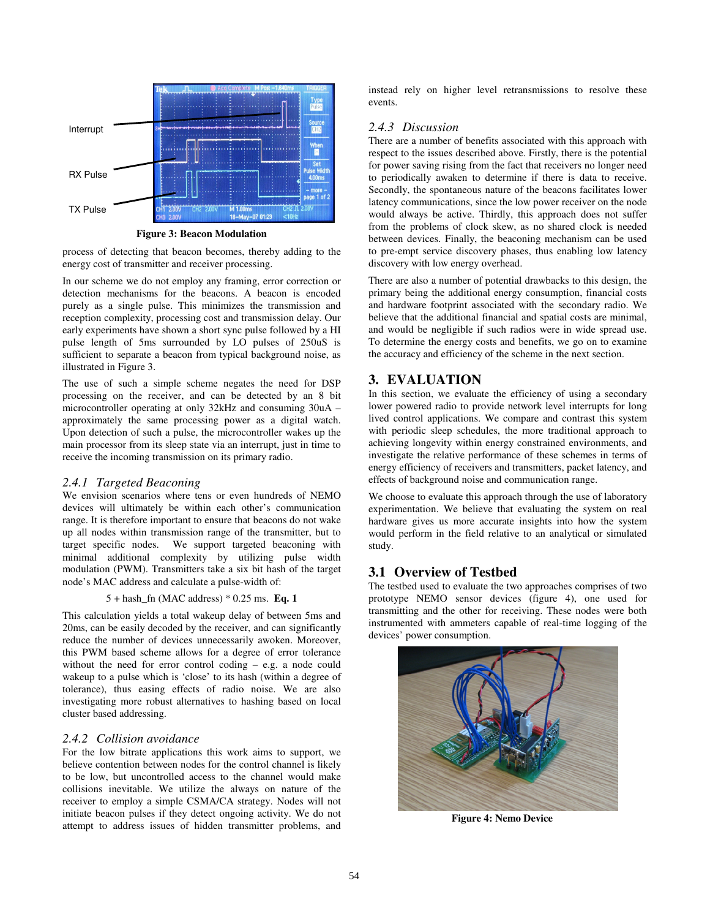

**Figure 3: Beacon Modulation** 

process of detecting that beacon becomes, thereby adding to the energy cost of transmitter and receiver processing.

In our scheme we do not employ any framing, error correction or detection mechanisms for the beacons. A beacon is encoded purely as a single pulse. This minimizes the transmission and reception complexity, processing cost and transmission delay. Our early experiments have shown a short sync pulse followed by a HI pulse length of 5ms surrounded by LO pulses of 250uS is sufficient to separate a beacon from typical background noise, as illustrated in Figure 3.

The use of such a simple scheme negates the need for DSP processing on the receiver, and can be detected by an 8 bit microcontroller operating at only 32kHz and consuming 30uA – approximately the same processing power as a digital watch. Upon detection of such a pulse, the microcontroller wakes up the main processor from its sleep state via an interrupt, just in time to receive the incoming transmission on its primary radio.

#### *2.4.1 Targeted Beaconing*

We envision scenarios where tens or even hundreds of NEMO devices will ultimately be within each other's communication range. It is therefore important to ensure that beacons do not wake up all nodes within transmission range of the transmitter, but to target specific nodes. We support targeted beaconing with minimal additional complexity by utilizing pulse width modulation (PWM). Transmitters take a six bit hash of the target node's MAC address and calculate a pulse-width of:

#### 5 + hash\_fn (MAC address) \* 0.25 ms. **Eq. 1**

This calculation yields a total wakeup delay of between 5ms and 20ms, can be easily decoded by the receiver, and can significantly reduce the number of devices unnecessarily awoken. Moreover, this PWM based scheme allows for a degree of error tolerance without the need for error control coding – e.g. a node could wakeup to a pulse which is 'close' to its hash (within a degree of tolerance), thus easing effects of radio noise. We are also investigating more robust alternatives to hashing based on local cluster based addressing.

#### *2.4.2 Collision avoidance*

For the low bitrate applications this work aims to support, we believe contention between nodes for the control channel is likely to be low, but uncontrolled access to the channel would make collisions inevitable. We utilize the always on nature of the receiver to employ a simple CSMA/CA strategy. Nodes will not initiate beacon pulses if they detect ongoing activity. We do not attempt to address issues of hidden transmitter problems, and

instead rely on higher level retransmissions to resolve these events.

#### *2.4.3 Discussion*

There are a number of benefits associated with this approach with respect to the issues described above. Firstly, there is the potential for power saving rising from the fact that receivers no longer need to periodically awaken to determine if there is data to receive. Secondly, the spontaneous nature of the beacons facilitates lower latency communications, since the low power receiver on the node would always be active. Thirdly, this approach does not suffer from the problems of clock skew, as no shared clock is needed between devices. Finally, the beaconing mechanism can be used to pre-empt service discovery phases, thus enabling low latency discovery with low energy overhead.

There are also a number of potential drawbacks to this design, the primary being the additional energy consumption, financial costs and hardware footprint associated with the secondary radio. We believe that the additional financial and spatial costs are minimal, and would be negligible if such radios were in wide spread use. To determine the energy costs and benefits, we go on to examine the accuracy and efficiency of the scheme in the next section.

#### **3. EVALUATION**

In this section, we evaluate the efficiency of using a secondary lower powered radio to provide network level interrupts for long lived control applications. We compare and contrast this system with periodic sleep schedules, the more traditional approach to achieving longevity within energy constrained environments, and investigate the relative performance of these schemes in terms of energy efficiency of receivers and transmitters, packet latency, and effects of background noise and communication range.

We choose to evaluate this approach through the use of laboratory experimentation. We believe that evaluating the system on real hardware gives us more accurate insights into how the system would perform in the field relative to an analytical or simulated study.

#### **3.1 Overview of Testbed**

The testbed used to evaluate the two approaches comprises of two prototype NEMO sensor devices (figure 4), one used for transmitting and the other for receiving. These nodes were both instrumented with ammeters capable of real-time logging of the devices' power consumption.



**Figure 4: Nemo Device**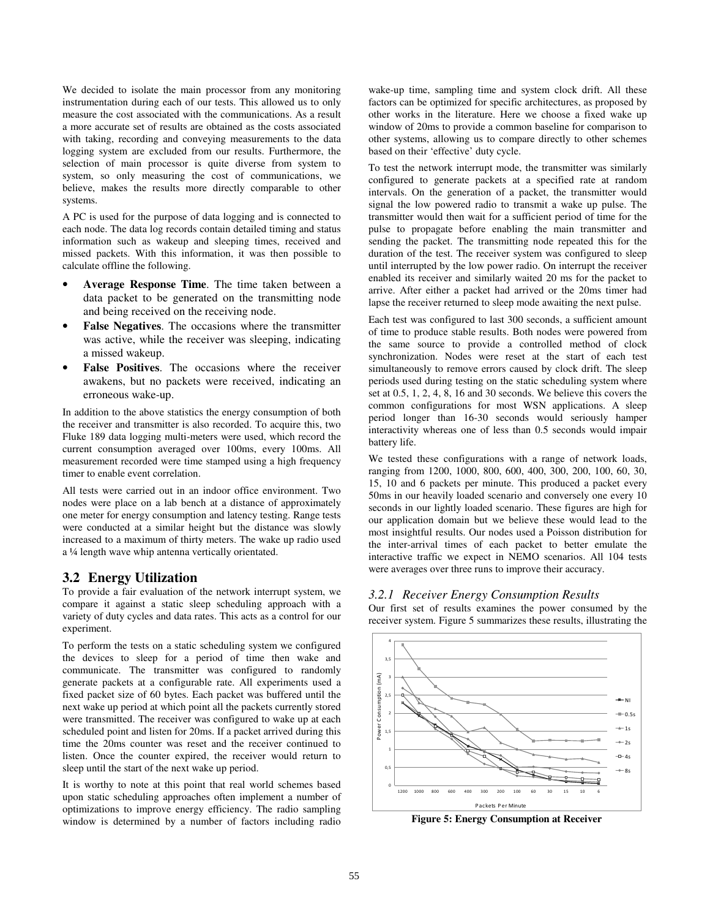We decided to isolate the main processor from any monitoring instrumentation during each of our tests. This allowed us to only measure the cost associated with the communications. As a result a more accurate set of results are obtained as the costs associated with taking, recording and conveying measurements to the data logging system are excluded from our results. Furthermore, the selection of main processor is quite diverse from system to system, so only measuring the cost of communications, we believe, makes the results more directly comparable to other systems.

A PC is used for the purpose of data logging and is connected to each node. The data log records contain detailed timing and status information such as wakeup and sleeping times, received and missed packets. With this information, it was then possible to calculate offline the following.

- **Average Response Time**. The time taken between a data packet to be generated on the transmitting node and being received on the receiving node.
- **False Negatives**. The occasions where the transmitter was active, while the receiver was sleeping, indicating a missed wakeup.
- False Positives. The occasions where the receiver awakens, but no packets were received, indicating an erroneous wake-up.

In addition to the above statistics the energy consumption of both the receiver and transmitter is also recorded. To acquire this, two Fluke 189 data logging multi-meters were used, which record the current consumption averaged over 100ms, every 100ms. All measurement recorded were time stamped using a high frequency timer to enable event correlation.

All tests were carried out in an indoor office environment. Two nodes were place on a lab bench at a distance of approximately one meter for energy consumption and latency testing. Range tests were conducted at a similar height but the distance was slowly increased to a maximum of thirty meters. The wake up radio used a ¼ length wave whip antenna vertically orientated.

#### **3.2 Energy Utilization**

To provide a fair evaluation of the network interrupt system, we compare it against a static sleep scheduling approach with a variety of duty cycles and data rates. This acts as a control for our experiment.

To perform the tests on a static scheduling system we configured the devices to sleep for a period of time then wake and communicate. The transmitter was configured to randomly generate packets at a configurable rate. All experiments used a fixed packet size of 60 bytes. Each packet was buffered until the next wake up period at which point all the packets currently stored were transmitted. The receiver was configured to wake up at each scheduled point and listen for 20ms. If a packet arrived during this time the 20ms counter was reset and the receiver continued to listen. Once the counter expired, the receiver would return to sleep until the start of the next wake up period.

It is worthy to note at this point that real world schemes based upon static scheduling approaches often implement a number of optimizations to improve energy efficiency. The radio sampling window is determined by a number of factors including radio

wake-up time, sampling time and system clock drift. All these factors can be optimized for specific architectures, as proposed by other works in the literature. Here we choose a fixed wake up window of 20ms to provide a common baseline for comparison to other systems, allowing us to compare directly to other schemes based on their 'effective' duty cycle.

To test the network interrupt mode, the transmitter was similarly configured to generate packets at a specified rate at random intervals. On the generation of a packet, the transmitter would signal the low powered radio to transmit a wake up pulse. The transmitter would then wait for a sufficient period of time for the pulse to propagate before enabling the main transmitter and sending the packet. The transmitting node repeated this for the duration of the test. The receiver system was configured to sleep until interrupted by the low power radio. On interrupt the receiver enabled its receiver and similarly waited 20 ms for the packet to arrive. After either a packet had arrived or the 20ms timer had lapse the receiver returned to sleep mode awaiting the next pulse.

Each test was configured to last 300 seconds, a sufficient amount of time to produce stable results. Both nodes were powered from the same source to provide a controlled method of clock synchronization. Nodes were reset at the start of each test simultaneously to remove errors caused by clock drift. The sleep periods used during testing on the static scheduling system where set at 0.5, 1, 2, 4, 8, 16 and 30 seconds. We believe this covers the common configurations for most WSN applications. A sleep period longer than 16-30 seconds would seriously hamper interactivity whereas one of less than 0.5 seconds would impair battery life.

We tested these configurations with a range of network loads, ranging from 1200, 1000, 800, 600, 400, 300, 200, 100, 60, 30, 15, 10 and 6 packets per minute. This produced a packet every 50ms in our heavily loaded scenario and conversely one every 10 seconds in our lightly loaded scenario. These figures are high for our application domain but we believe these would lead to the most insightful results. Our nodes used a Poisson distribution for the inter-arrival times of each packet to better emulate the interactive traffic we expect in NEMO scenarios. All 104 tests were averages over three runs to improve their accuracy.

#### *3.2.1 Receiver Energy Consumption Results*

Our first set of results examines the power consumed by the receiver system. Figure 5 summarizes these results, illustrating the



**Figure 5: Energy Consumption at Receiver**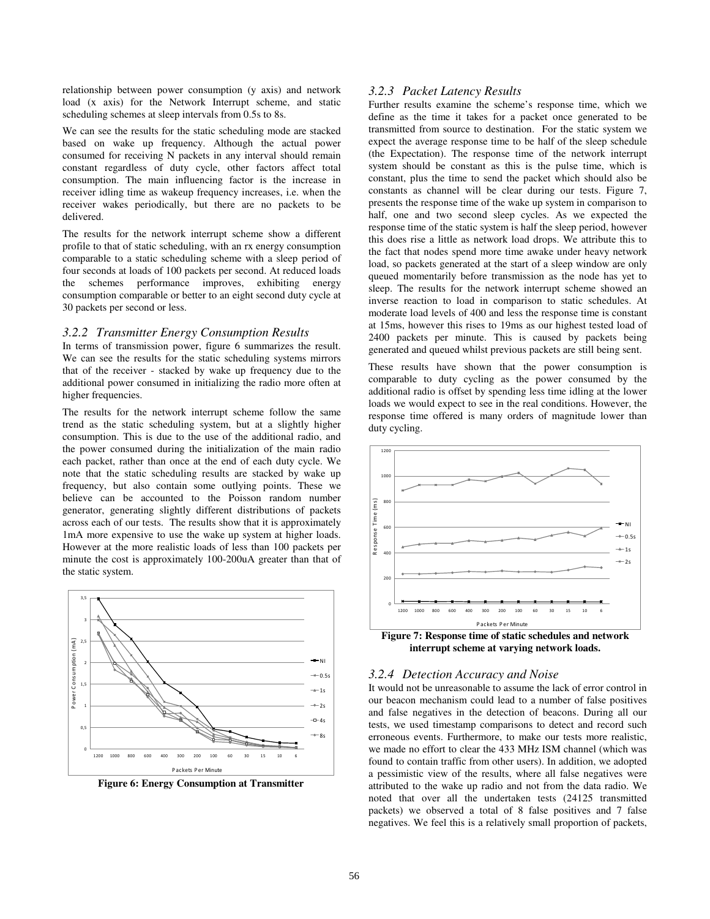relationship between power consumption (y axis) and network load (x axis) for the Network Interrupt scheme, and static scheduling schemes at sleep intervals from 0.5s to 8s.

We can see the results for the static scheduling mode are stacked based on wake up frequency. Although the actual power consumed for receiving N packets in any interval should remain constant regardless of duty cycle, other factors affect total consumption. The main influencing factor is the increase in receiver idling time as wakeup frequency increases, i.e. when the receiver wakes periodically, but there are no packets to be delivered.

The results for the network interrupt scheme show a different profile to that of static scheduling, with an rx energy consumption comparable to a static scheduling scheme with a sleep period of four seconds at loads of 100 packets per second. At reduced loads the schemes performance improves, exhibiting energy consumption comparable or better to an eight second duty cycle at 30 packets per second or less.

#### *3.2.2 Transmitter Energy Consumption Results*

In terms of transmission power, figure 6 summarizes the result. We can see the results for the static scheduling systems mirrors that of the receiver - stacked by wake up frequency due to the additional power consumed in initializing the radio more often at higher frequencies.

The results for the network interrupt scheme follow the same trend as the static scheduling system, but at a slightly higher consumption. This is due to the use of the additional radio, and the power consumed during the initialization of the main radio each packet, rather than once at the end of each duty cycle. We note that the static scheduling results are stacked by wake up frequency, but also contain some outlying points. These we believe can be accounted to the Poisson random number generator, generating slightly different distributions of packets across each of our tests. The results show that it is approximately 1mA more expensive to use the wake up system at higher loads. However at the more realistic loads of less than 100 packets per minute the cost is approximately 100-200uA greater than that of the static system.



**Figure 6: Energy Consumption at Transmitter** 

#### *3.2.3 Packet Latency Results*

Further results examine the scheme's response time, which we define as the time it takes for a packet once generated to be transmitted from source to destination. For the static system we expect the average response time to be half of the sleep schedule (the Expectation). The response time of the network interrupt system should be constant as this is the pulse time, which is constant, plus the time to send the packet which should also be constants as channel will be clear during our tests. Figure 7, presents the response time of the wake up system in comparison to half, one and two second sleep cycles. As we expected the response time of the static system is half the sleep period, however this does rise a little as network load drops. We attribute this to the fact that nodes spend more time awake under heavy network load, so packets generated at the start of a sleep window are only queued momentarily before transmission as the node has yet to sleep. The results for the network interrupt scheme showed an inverse reaction to load in comparison to static schedules. At moderate load levels of 400 and less the response time is constant at 15ms, however this rises to 19ms as our highest tested load of 2400 packets per minute. This is caused by packets being generated and queued whilst previous packets are still being sent.

These results have shown that the power consumption is comparable to duty cycling as the power consumed by the additional radio is offset by spending less time idling at the lower loads we would expect to see in the real conditions. However, the response time offered is many orders of magnitude lower than duty cycling.



**interrupt scheme at varying network loads.** 

#### *3.2.4 Detection Accuracy and Noise*

It would not be unreasonable to assume the lack of error control in our beacon mechanism could lead to a number of false positives and false negatives in the detection of beacons. During all our tests, we used timestamp comparisons to detect and record such erroneous events. Furthermore, to make our tests more realistic, we made no effort to clear the 433 MHz ISM channel (which was found to contain traffic from other users). In addition, we adopted a pessimistic view of the results, where all false negatives were attributed to the wake up radio and not from the data radio. We noted that over all the undertaken tests (24125 transmitted packets) we observed a total of 8 false positives and 7 false negatives. We feel this is a relatively small proportion of packets,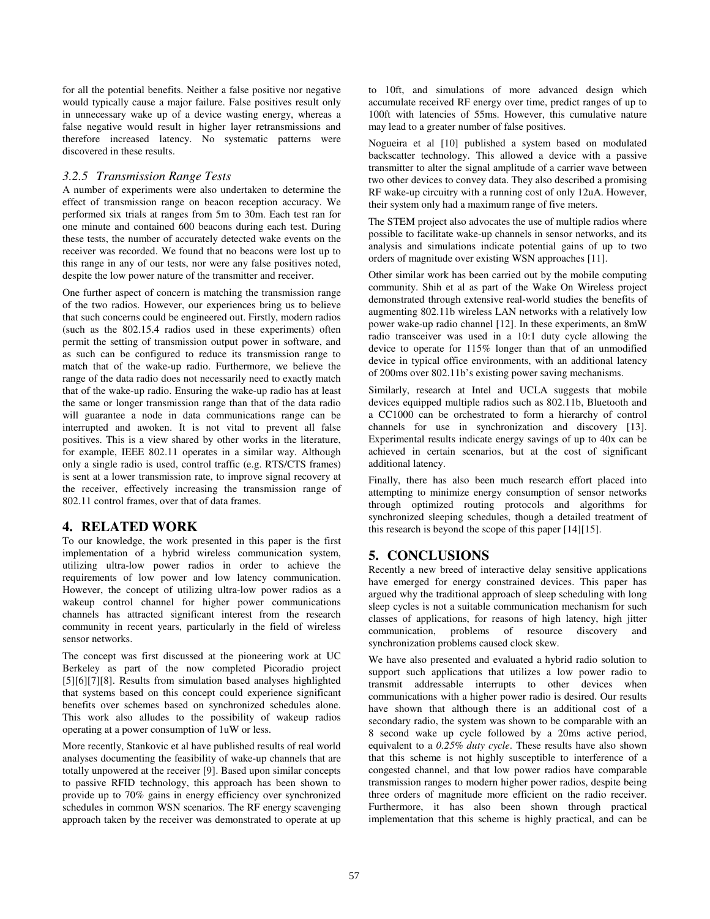for all the potential benefits. Neither a false positive nor negative would typically cause a major failure. False positives result only in unnecessary wake up of a device wasting energy, whereas a false negative would result in higher layer retransmissions and therefore increased latency. No systematic patterns were discovered in these results.

#### *3.2.5 Transmission Range Tests*

A number of experiments were also undertaken to determine the effect of transmission range on beacon reception accuracy. We performed six trials at ranges from 5m to 30m. Each test ran for one minute and contained 600 beacons during each test. During these tests, the number of accurately detected wake events on the receiver was recorded. We found that no beacons were lost up to this range in any of our tests, nor were any false positives noted, despite the low power nature of the transmitter and receiver.

One further aspect of concern is matching the transmission range of the two radios. However, our experiences bring us to believe that such concerns could be engineered out. Firstly, modern radios (such as the 802.15.4 radios used in these experiments) often permit the setting of transmission output power in software, and as such can be configured to reduce its transmission range to match that of the wake-up radio. Furthermore, we believe the range of the data radio does not necessarily need to exactly match that of the wake-up radio. Ensuring the wake-up radio has at least the same or longer transmission range than that of the data radio will guarantee a node in data communications range can be interrupted and awoken. It is not vital to prevent all false positives. This is a view shared by other works in the literature, for example, IEEE 802.11 operates in a similar way. Although only a single radio is used, control traffic (e.g. RTS/CTS frames) is sent at a lower transmission rate, to improve signal recovery at the receiver, effectively increasing the transmission range of 802.11 control frames, over that of data frames.

#### **4. RELATED WORK**

To our knowledge, the work presented in this paper is the first implementation of a hybrid wireless communication system, utilizing ultra-low power radios in order to achieve the requirements of low power and low latency communication. However, the concept of utilizing ultra-low power radios as a wakeup control channel for higher power communications channels has attracted significant interest from the research community in recent years, particularly in the field of wireless sensor networks.

The concept was first discussed at the pioneering work at UC Berkeley as part of the now completed Picoradio project [5][6][7][8]. Results from simulation based analyses highlighted that systems based on this concept could experience significant benefits over schemes based on synchronized schedules alone. This work also alludes to the possibility of wakeup radios operating at a power consumption of 1uW or less.

More recently, Stankovic et al have published results of real world analyses documenting the feasibility of wake-up channels that are totally unpowered at the receiver [9]. Based upon similar concepts to passive RFID technology, this approach has been shown to provide up to 70% gains in energy efficiency over synchronized schedules in common WSN scenarios. The RF energy scavenging approach taken by the receiver was demonstrated to operate at up to 10ft, and simulations of more advanced design which accumulate received RF energy over time, predict ranges of up to 100ft with latencies of 55ms. However, this cumulative nature may lead to a greater number of false positives.

Nogueira et al [10] published a system based on modulated backscatter technology. This allowed a device with a passive transmitter to alter the signal amplitude of a carrier wave between two other devices to convey data. They also described a promising RF wake-up circuitry with a running cost of only 12uA. However, their system only had a maximum range of five meters.

The STEM project also advocates the use of multiple radios where possible to facilitate wake-up channels in sensor networks, and its analysis and simulations indicate potential gains of up to two orders of magnitude over existing WSN approaches [11].

Other similar work has been carried out by the mobile computing community. Shih et al as part of the Wake On Wireless project demonstrated through extensive real-world studies the benefits of augmenting 802.11b wireless LAN networks with a relatively low power wake-up radio channel [12]. In these experiments, an 8mW radio transceiver was used in a 10:1 duty cycle allowing the device to operate for 115% longer than that of an unmodified device in typical office environments, with an additional latency of 200ms over 802.11b's existing power saving mechanisms.

Similarly, research at Intel and UCLA suggests that mobile devices equipped multiple radios such as 802.11b, Bluetooth and a CC1000 can be orchestrated to form a hierarchy of control channels for use in synchronization and discovery [13]. Experimental results indicate energy savings of up to 40x can be achieved in certain scenarios, but at the cost of significant additional latency.

Finally, there has also been much research effort placed into attempting to minimize energy consumption of sensor networks through optimized routing protocols and algorithms for synchronized sleeping schedules, though a detailed treatment of this research is beyond the scope of this paper [14][15].

#### **5. CONCLUSIONS**

Recently a new breed of interactive delay sensitive applications have emerged for energy constrained devices. This paper has argued why the traditional approach of sleep scheduling with long sleep cycles is not a suitable communication mechanism for such classes of applications, for reasons of high latency, high jitter communication, problems of resource discovery and synchronization problems caused clock skew.

We have also presented and evaluated a hybrid radio solution to support such applications that utilizes a low power radio to transmit addressable interrupts to other devices when communications with a higher power radio is desired. Our results have shown that although there is an additional cost of a secondary radio, the system was shown to be comparable with an 8 second wake up cycle followed by a 20ms active period, equivalent to a *0.25% duty cycle*. These results have also shown that this scheme is not highly susceptible to interference of a congested channel, and that low power radios have comparable transmission ranges to modern higher power radios, despite being three orders of magnitude more efficient on the radio receiver. Furthermore, it has also been shown through practical implementation that this scheme is highly practical, and can be